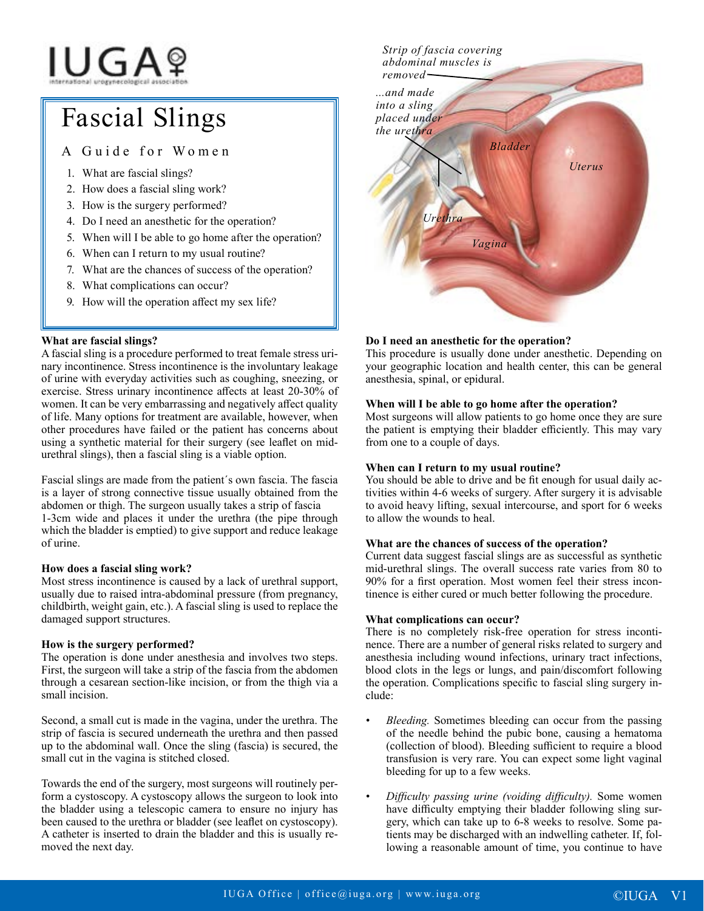# **IUGA**?

# Fascial Slings

# A Guide for Women

- 1. What are fascial slings?
- 2. How does a fascial sling work?
- 3. How is the surgery performed?
- 4. Do I need an anesthetic for the operation?
- 5. When will I be able to go home after the operation?
- 6. When can I return to my usual routine?
- 7. What are the chances of success of the operation?
- 8. What complications can occur?
- 9. How will the operation affect my sex life?

# **What are fascial slings?**

A fascial sling is a procedure performed to treat female stress urinary incontinence. Stress incontinence is the involuntary leakage of urine with everyday activities such as coughing, sneezing, or exercise. Stress urinary incontinence affects at least 20-30% of women. It can be very embarrassing and negatively affect quality of life. Many options for treatment are available, however, when other procedures have failed or the patient has concerns about using a synthetic material for their surgery (see leaflet on midurethral slings), then a fascial sling is a viable option.

Fascial slings are made from the patient´s own fascia. The fascia is a layer of strong connective tissue usually obtained from the abdomen or thigh. The surgeon usually takes a strip of fascia 1-3cm wide and places it under the urethra (the pipe through which the bladder is emptied) to give support and reduce leakage of urine.

## **How does a fascial sling work?**

Most stress incontinence is caused by a lack of urethral support, usually due to raised intra-abdominal pressure (from pregnancy, childbirth, weight gain, etc.). A fascial sling is used to replace the damaged support structures.

## **How is the surgery performed?**

The operation is done under anesthesia and involves two steps. First, the surgeon will take a strip of the fascia from the abdomen through a cesarean section-like incision, or from the thigh via a small incision.

Second, a small cut is made in the vagina, under the urethra. The strip of fascia is secured underneath the urethra and then passed up to the abdominal wall. Once the sling (fascia) is secured, the small cut in the vagina is stitched closed.

Towards the end of the surgery, most surgeons will routinely perform a cystoscopy. A cystoscopy allows the surgeon to look into the bladder using a telescopic camera to ensure no injury has been caused to the urethra or bladder (see leaflet on cystoscopy). A catheter is inserted to drain the bladder and this is usually removed the next day.



# **Do I need an anesthetic for the operation?**

This procedure is usually done under anesthetic. Depending on your geographic location and health center, this can be general anesthesia, spinal, or epidural.

#### **When will I be able to go home after the operation?**

Most surgeons will allow patients to go home once they are sure the patient is emptying their bladder efficiently. This may vary from one to a couple of days.

#### **When can I return to my usual routine?**

You should be able to drive and be fit enough for usual daily activities within 4-6 weeks of surgery. After surgery it is advisable to avoid heavy lifting, sexual intercourse, and sport for 6 weeks to allow the wounds to heal.

#### **What are the chances of success of the operation?**

Current data suggest fascial slings are as successful as synthetic mid-urethral slings. The overall success rate varies from 80 to 90% for a first operation. Most women feel their stress incontinence is either cured or much better following the procedure.

#### **What complications can occur?**

There is no completely risk-free operation for stress incontinence. There are a number of general risks related to surgery and anesthesia including wound infections, urinary tract infections, blood clots in the legs or lungs, and pain/discomfort following the operation. Complications specific to fascial sling surgery include:

- *• Bleeding.* Sometimes bleeding can occur from the passing of the needle behind the pubic bone, causing a hematoma (collection of blood). Bleeding sufficient to require a blood transfusion is very rare. You can expect some light vaginal bleeding for up to a few weeks.
- *• Difficulty passing urine (voiding difficulty).* Some women have difficulty emptying their bladder following sling surgery, which can take up to 6-8 weeks to resolve. Some patients may be discharged with an indwelling catheter. If, following a reasonable amount of time, you continue to have